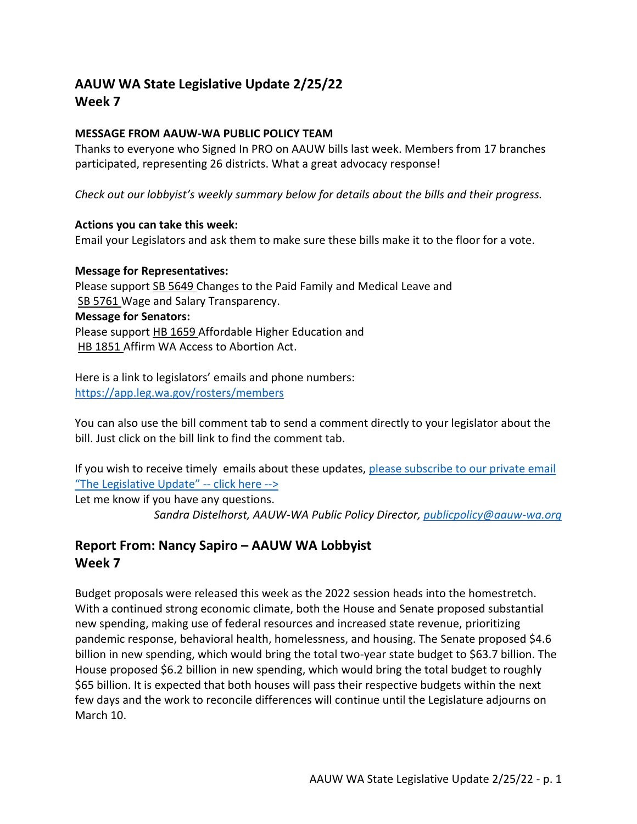# **AAUW WA State Legislative Update 2/25/22 Week 7**

### **MESSAGE FROM AAUW-WA PUBLIC POLICY TEAM**

Thanks to everyone who Signed In PRO on AAUW bills last week. Members from 17 branches participated, representing 26 districts. What a great advocacy response!

*Check out our lobbyist's weekly summary below for details about the bills and their progress.*

**Actions you can take this week:** Email your Legislators and ask them to make sure these bills make it to the floor for a vote.

**Message for Representatives:** Please support [SB 5649](https://app.leg.wa.gov/billsummary?BillNumber=5649&Year=2021&Initiative=false) Changes to the Paid Family and Medical Leave and [SB 5761](https://app.leg.wa.gov/billsummary?BillNumber=5761&Year=2021&Initiative=false) Wage and Salary Transparency. **Message for Senators:** Please support [HB 1659](https://app.leg.wa.gov/billsummary?billnumber=1659&year=2022) Affordable Higher Education and [HB 1851](https://app.leg.wa.gov/billsummary?BillNumber=1851&Initiative=false&Year=2021) Affirm WA Access to Abortion Act.

Here is a link to legislators' emails and phone numbers: <https://app.leg.wa.gov/rosters/members>

You can also use the bill comment tab to send a comment directly to your legislator about the bill. Just click on the bill link to find the comment tab.

If you wish to receive timely emails about these updates, please subscribe to our private email "[The Legislative Update](https://signup.e2ma.net/signup/1964781/31230/)" -- click here -->

Let me know if you have any questions.

*Sandra Distelhorst, AAUW-WA Public Policy Director, [publicpolicy@aauw-wa.org](mailto:publicpolicy@aauw-wa.org)*

# **Report From: Nancy Sapiro – AAUW WA Lobbyist Week 7**

Budget proposals were released this week as the 2022 session heads into the homestretch. With a continued strong economic climate, both the House and Senate proposed substantial new spending, making use of federal resources and increased state revenue, prioritizing pandemic response, behavioral health, homelessness, and housing. The Senate proposed \$4.6 billion in new spending, which would bring the total two-year state budget to \$63.7 billion. The House proposed \$6.2 billion in new spending, which would bring the total budget to roughly \$65 billion. It is expected that both houses will pass their respective budgets within the next few days and the work to reconcile differences will continue until the Legislature adjourns on March 10.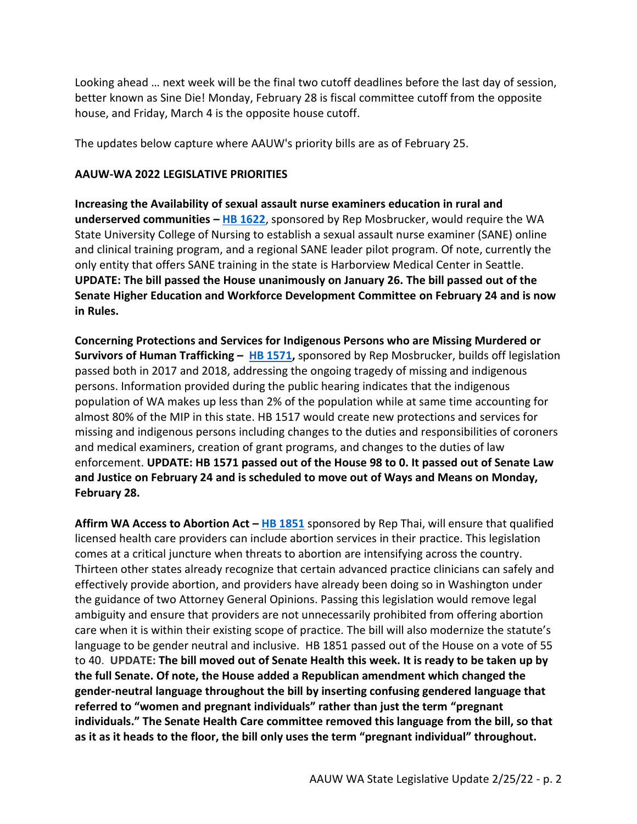Looking ahead … next week will be the final two cutoff deadlines before the last day of session, better known as Sine Die! Monday, February 28 is fiscal committee cutoff from the opposite house, and Friday, March 4 is the opposite house cutoff.

The updates below capture where AAUW's priority bills are as of February 25.

#### **AAUW-WA 2022 LEGISLATIVE PRIORITIES**

**Increasing the Availability of sexual assault nurse examiners education in rural and underserved communities – [HB 1622](https://app.leg.wa.gov/billsummary?BillNumber=1622&Initiative=false&Year=2021)**, sponsored by Rep Mosbrucker, would require the WA State University College of Nursing to establish a sexual assault nurse examiner (SANE) online and clinical training program, and a regional SANE leader pilot program. Of note, currently the only entity that offers SANE training in the state is Harborview Medical Center in Seattle. **UPDATE: The bill passed the House unanimously on January 26. The bill passed out of the Senate Higher Education and Workforce Development Committee on February 24 and is now in Rules.**

**Concerning Protections and Services for Indigenous Persons who are Missing Murdered or Survivors of Human Trafficking – [HB 1571,](https://app.leg.wa.gov/billsummary?BillNumber=1571&Year=2021&Initiative=false)** sponsored by Rep Mosbrucker, builds off legislation passed both in 2017 and 2018, addressing the ongoing tragedy of missing and indigenous persons. Information provided during the public hearing indicates that the indigenous population of WA makes up less than 2% of the population while at same time accounting for almost 80% of the MIP in this state. HB 1517 would create new protections and services for missing and indigenous persons including changes to the duties and responsibilities of coroners and medical examiners, creation of grant programs, and changes to the duties of law enforcement. **UPDATE: HB 1571 passed out of the House 98 to 0. It passed out of Senate Law and Justice on February 24 and is scheduled to move out of Ways and Means on Monday, February 28.**

**Affirm WA Access to Abortion Act – [HB 1851](https://app.leg.wa.gov/billsummary?BillNumber=1851&Initiative=false&Year=2021)** sponsored by Rep Thai, will ensure that qualified licensed health care providers can include abortion services in their practice. This legislation comes at a critical juncture when threats to abortion are intensifying across the country. Thirteen other states already recognize that certain advanced practice clinicians can safely and effectively provide abortion, and providers have already been doing so in Washington under the guidance of two Attorney General Opinions. Passing this legislation would remove legal ambiguity and ensure that providers are not unnecessarily prohibited from offering abortion care when it is within their existing scope of practice. The bill will also modernize the statute's language to be gender neutral and inclusive. HB 1851 passed out of the House on a vote of 55 to 40. **UPDATE: The bill moved out of Senate Health this week. It is ready to be taken up by the full Senate. Of note, the House added a Republican amendment which changed the gender-neutral language throughout the bill by inserting confusing gendered language that referred to "women and pregnant individuals" rather than just the term "pregnant individuals." The Senate Health Care committee removed this language from the bill, so that as it as it heads to the floor, the bill only uses the term "pregnant individual" throughout.**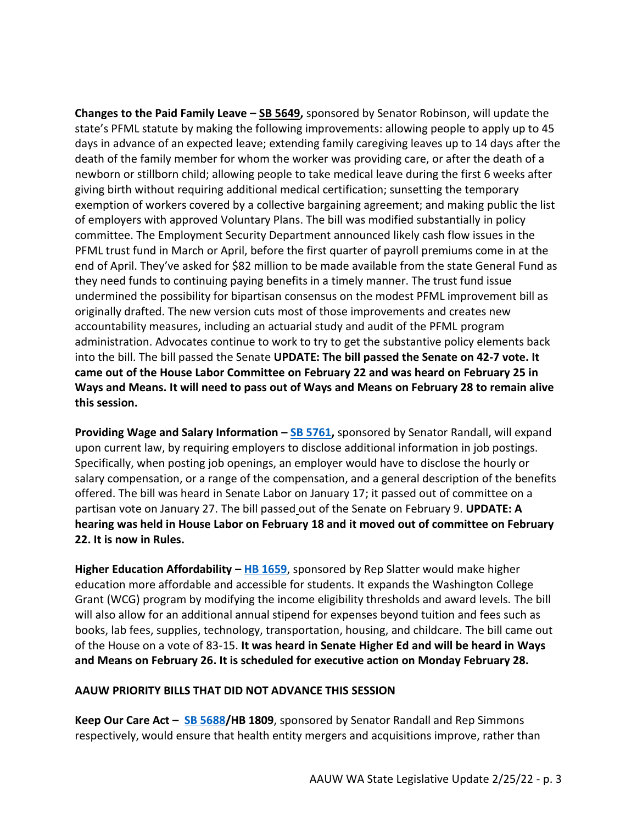**Changes to the Paid Family Leave – [SB 5649,](https://app.leg.wa.gov/billsummary?BillNumber=5649&Year=2021&Initiative=false)** sponsored by Senator Robinson, will update the state's PFML statute by making the following improvements: allowing people to apply up to 45 days in advance of an expected leave; extending family caregiving leaves up to 14 days after the death of the family member for whom the worker was providing care, or after the death of a newborn or stillborn child; allowing people to take medical leave during the first 6 weeks after giving birth without requiring additional medical certification; sunsetting the temporary exemption of workers covered by a collective bargaining agreement; and making public the list of employers with approved Voluntary Plans. The bill was modified substantially in policy committee. The Employment Security Department announced likely cash flow issues in the PFML trust fund in March or April, before the first quarter of payroll premiums come in at the end of April. They've asked for \$82 million to be made available from the state General Fund as they need funds to continuing paying benefits in a timely manner. The trust fund issue undermined the possibility for bipartisan consensus on the modest PFML improvement bill as originally drafted. The new version cuts most of those improvements and creates new accountability measures, including an actuarial study and audit of the PFML program administration. Advocates continue to work to try to get the substantive policy elements back into the bill. The bill passed the Senate **UPDATE: The bill passed the Senate on 42-7 vote. It came out of the House Labor Committee on February 22 and was heard on February 25 in Ways and Means. It will need to pass out of Ways and Means on February 28 to remain alive this session.** 

**Providing Wage and Salary Information – [SB 5761,](https://app.leg.wa.gov/billsummary?BillNumber=5761&Year=2021&Initiative=false)** sponsored by Senator Randall, will expand upon current law, by requiring employers to disclose additional information in job postings. Specifically, when posting job openings, an employer would have to disclose the hourly or salary compensation, or a range of the compensation, and a general description of the benefits offered. The bill was heard in Senate Labor on January 17; it passed out of committee on a partisan vote on January 27. The bill passed out of the Senate on February 9. **UPDATE: A hearing was held in House Labor on February 18 and it moved out of committee on February 22. It is now in Rules.** 

**Higher Education Affordability – [HB 1659](https://app.leg.wa.gov/billsummary?billnumber=1659&year=2022)**, sponsored by Rep Slatter would make higher education more affordable and accessible for students. It expands the Washington College Grant (WCG) program by modifying the income eligibility thresholds and award levels. The bill will also allow for an additional annual stipend for expenses beyond tuition and fees such as books, lab fees, supplies, technology, transportation, housing, and childcare. The bill came out of the House on a vote of 83-15. **It was heard in Senate Higher Ed and will be heard in Ways and Means on February 26. It is scheduled for executive action on Monday February 28.**

### **AAUW PRIORITY BILLS THAT DID NOT ADVANCE THIS SESSION**

**Keep Our Care Act – [SB 5688/](https://app.leg.wa.gov/billsummary?BillNumber=5688&Chamber=Senate&Year=2021)HB 1809**, sponsored by Senator Randall and Rep Simmons respectively, would ensure that health entity mergers and acquisitions improve, rather than